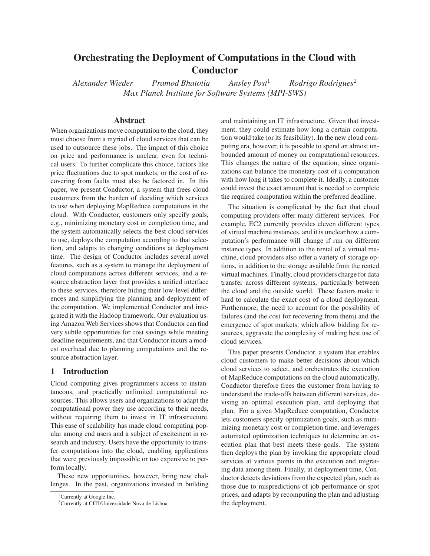# **Orchestrating the Deployment of Computations in the Cloud with Conductor**

*Alexander Wieder Pramod Bhatotia Ansley Post*<sup>1</sup> *Rodrigo Rodrigues*<sup>2</sup> *Max Planck Institute for Software Systems (MPI-SWS)*

#### **Abstract**

When organizations move computation to the cloud, they must choose from a myriad of cloud services that can be used to outsource these jobs. The impact of this choice on price and performance is unclear, even for technical users. To further complicate this choice, factors like price fluctuations due to spot markets, or the cost of recovering from faults must also be factored in. In this paper, we present Conductor, a system that frees cloud customers from the burden of deciding which services to use when deploying MapReduce computations in the cloud. With Conductor, customers only specify goals, e.g., minimizing monetary cost or completion time, and the system automatically selects the best cloud services to use, deploys the computation according to that selection, and adapts to changing conditions at deployment time. The design of Conductor includes several novel features, such as a system to manage the deployment of cloud computations across different services, and a resource abstraction layer that provides a unified interface to these services, therefore hiding their low-level differences and simplifying the planning and deployment of the computation. We implemented Conductor and integrated it with the Hadoop framework. Our evaluation using Amazon Web Services shows that Conductor can find very subtle opportunities for cost savings while meeting deadline requirements, and that Conductor incurs a modest overhead due to planning computations and the resource abstraction layer.

## **1 Introduction**

Cloud computing gives programmers access to instantaneous, and practically unlimited computational resources. This allows users and organizations to adapt the computational power they use according to their needs, without requiring them to invest in IT infrastructure. This ease of scalability has made cloud computing popular among end users and a subject of excitement in research and industry. Users have the opportunity to transfer computations into the cloud, enabling applications that were previously impossible or too expensive to perform locally.

These new opportunities, however, bring new challenges. In the past, organizations invested in building and maintaining an IT infrastructure. Given that investment, they could estimate how long a certain computation would take (or its feasibility). In the new cloud computing era, however, it is possible to spend an almost unbounded amount of money on computational resources. This changes the nature of the equation, since organizations can balance the monetary cost of a computation with how long it takes to complete it. Ideally, a customer could invest the exact amount that is needed to complete the required computation within the preferred deadline.

The situation is complicated by the fact that cloud computing providers offer many different services. For example, EC2 currently provides eleven different types of virtual machine instances, and it is unclear how a computation's performance will change if run on different instance types. In addition to the rental of a virtual machine, cloud providers also offer a variety of storage options, in addition to the storage available from the rented virtual machines. Finally, cloud providers charge for data transfer across different systems, particularly between the cloud and the outside world. These factors make it hard to calculate the exact cost of a cloud deployment. Furthermore, the need to account for the possibility of failures (and the cost for recovering from them) and the emergence of spot markets, which allow bidding for resources, aggravate the complexity of making best use of cloud services.

This paper presents Conductor, a system that enables cloud customers to make better decisions about which cloud services to select, and orchestrates the execution of MapReduce computations on the cloud automatically. Conductor therefore frees the customer from having to understand the trade-offs between different services, devising an optimal execution plan, and deploying that plan. For a given MapReduce computation, Conductor lets customers specify optimization goals, such as minimizing monetary cost or completion time, and leverages automated optimization techniques to determine an execution plan that best meets these goals. The system then deploys the plan by invoking the appropriate cloud services at various points in the execution and migrating data among them. Finally, at deployment time, Conductor detects deviations from the expected plan, such as those due to mispredictions of job performance or spot prices, and adapts by recomputing the plan and adjusting the deployment.

<sup>&</sup>lt;sup>1</sup>Currently at Google Inc.

<sup>2</sup>Currently at CITI/Universidade Nova de Lisboa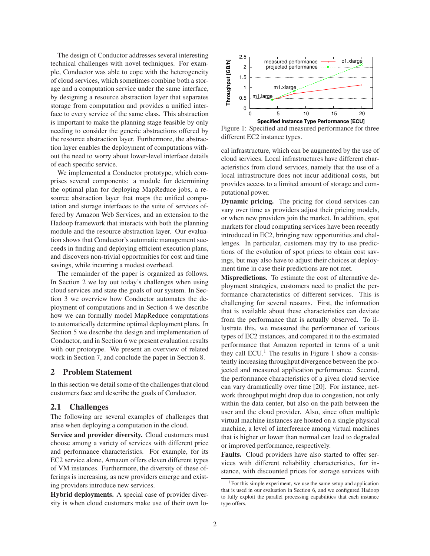The design of Conductor addresses several interesting technical challenges with novel techniques. For example, Conductor was able to cope with the heterogeneity of cloud services, which sometimes combine both a storage and a computation service under the same interface, by designing a resource abstraction layer that separates storage from computation and provides a unified interface to every service of the same class. This abstraction is important to make the planning stage feasible by only needing to consider the generic abstractions offered by the resource abstraction layer. Furthermore, the abstraction layer enables the deployment of computations without the need to worry about lower-level interface details of each specific service.

We implemented a Conductor prototype, which comprises several components: a module for determining the optimal plan for deploying MapReduce jobs, a resource abstraction layer that maps the unified computation and storage interfaces to the suite of services offered by Amazon Web Services, and an extension to the Hadoop framework that interacts with both the planning module and the resource abstraction layer. Our evaluation shows that Conductor's automatic management succeeds in finding and deploying efficient execution plans, and discovers non-trivial opportunities for cost and time savings, while incurring a modest overhead.

The remainder of the paper is organized as follows. In Section 2 we lay out today's challenges when using cloud services and state the goals of our system. In Section 3 we overview how Conductor automates the deployment of computations and in Section 4 we describe how we can formally model MapReduce computations to automatically determine optimal deployment plans. In Section 5 we describe the design and implementation of Conductor, and in Section 6 we present evaluation results with our prototype. We present an overview of related work in Section 7, and conclude the paper in Section 8.

### **2 Problem Statement**

In this section we detail some of the challenges that cloud customers face and describe the goals of Conductor.

#### **2.1 Challenges**

The following are several examples of challenges that arise when deploying a computation in the cloud.

**Service and provider diversity.** Cloud customers must choose among a variety of services with different price and performance characteristics. For example, for its EC2 service alone, Amazon offers eleven different types of VM instances. Furthermore, the diversity of these offerings is increasing, as new providers emerge and existing providers introduce new services.

**Hybrid deployments.** A special case of provider diversity is when cloud customers make use of their own lo-



Figure 1: Specified and measured performance for three different EC2 instance types.

cal infrastructure, which can be augmented by the use of cloud services. Local infrastructures have different characteristics from cloud services, namely that the use of a local infrastructure does not incur additional costs, but provides access to a limited amount of storage and computational power.

**Dynamic pricing.** The pricing for cloud services can vary over time as providers adjust their pricing models, or when new providers join the market. In addition, spot markets for cloud computing services have been recently introduced in EC2, bringing new opportunities and challenges. In particular, customers may try to use predictions of the evolution of spot prices to obtain cost savings, but may also have to adjust their choices at deployment time in case their predictions are not met.

**Mispredictions.** To estimate the cost of alternative deployment strategies, customers need to predict the performance characteristics of different services. This is challenging for several reasons. First, the information that is available about these characteristics can deviate from the performance that is actually observed. To illustrate this, we measured the performance of various types of EC2 instances, and compared it to the estimated performance that Amazon reported in terms of a unit they call  $ECU<sup>1</sup>$ . The results in Figure 1 show a consistently increasing throughput divergence between the projected and measured application performance. Second, the performance characteristics of a given cloud service can vary dramatically over time [20]. For instance, network throughput might drop due to congestion, not only within the data center, but also on the path between the user and the cloud provider. Also, since often multiple virtual machine instances are hosted on a single physical machine, a level of interference among virtual machines that is higher or lower than normal can lead to degraded or improved performance, respectively.

**Faults.** Cloud providers have also started to offer services with different reliability characteristics, for instance, with discounted prices for storage services with

<sup>&</sup>lt;sup>1</sup>For this simple experiment, we use the same setup and application that is used in our evaluation in Section 6, and we configured Hadoop to fully exploit the parallel processing capabilities that each instance type offers.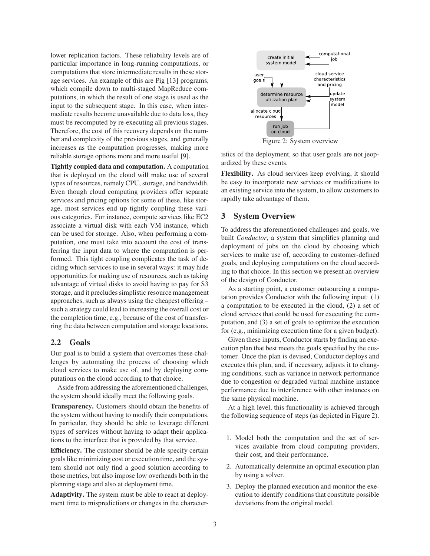lower replication factors. These reliability levels are of particular importance in long-running computations, or computations that store intermediate results in these storage services. An example of this are Pig [13] programs, which compile down to multi-staged MapReduce computations, in which the result of one stage is used as the input to the subsequent stage. In this case, when intermediate results become unavailable due to data loss, they must be recomputed by re-executing all previous stages. Therefore, the cost of this recovery depends on the number and complexity of the previous stages, and generally increases as the computation progresses, making more reliable storage options more and more useful [9].

**Tightly coupled data and computation.** A computation that is deployed on the cloud will make use of several types of resources, namely CPU, storage, and bandwidth. Even though cloud computing providers offer separate services and pricing options for some of these, like storage, most services end up tightly coupling these various categories. For instance, compute services like EC2 associate a virtual disk with each VM instance, which can be used for storage. Also, when performing a computation, one must take into account the cost of transferring the input data to where the computation is performed. This tight coupling complicates the task of deciding which services to use in several ways: it may hide opportunities for making use of resources, such as taking advantage of virtual disks to avoid having to pay for S3 storage, and it precludes simplistic resource management approaches, such as always using the cheapest offering – such a strategy could lead to increasing the overall cost or the completion time, e.g., because of the cost of transferring the data between computation and storage locations.

#### **2.2 Goals**

Our goal is to build a system that overcomes these challenges by automating the process of choosing which cloud services to make use of, and by deploying computations on the cloud according to that choice.

Aside from addressing the aforementioned challenges, the system should ideally meet the following goals.

**Transparency.** Customers should obtain the benefits of the system without having to modify their computations. In particular, they should be able to leverage different types of services without having to adapt their applications to the interface that is provided by that service.

**Efficiency.** The customer should be able specify certain goals like minimizing cost or execution time, and the system should not only find a good solution according to those metrics, but also impose low overheads both in the planning stage and also at deployment time.

**Adaptivity.** The system must be able to react at deployment time to mispredictions or changes in the character-



Figure 2: System overview

istics of the deployment, so that user goals are not jeopardized by these events.

**Flexibility.** As cloud services keep evolving, it should be easy to incorporate new services or modifications to an existing service into the system, to allow customers to rapidly take advantage of them.

# **3 System Overview**

To address the aforementioned challenges and goals, we built *Conductor*, a system that simplifies planning and deployment of jobs on the cloud by choosing which services to make use of, according to customer-defined goals, and deploying computations on the cloud according to that choice. In this section we present an overview of the design of Conductor.

As a starting point, a customer outsourcing a computation provides Conductor with the following input: (1) a computation to be executed in the cloud, (2) a set of cloud services that could be used for executing the computation, and (3) a set of goals to optimize the execution for (e.g., minimizing execution time for a given budget).

Given these inputs, Conductor starts by finding an execution plan that best meets the goals specified by the customer. Once the plan is devised, Conductor deploys and executes this plan, and, if necessary, adjusts it to changing conditions, such as variance in network performance due to congestion or degraded virtual machine instance performance due to interference with other instances on the same physical machine.

At a high level, this functionality is achieved through the following sequence of steps (as depicted in Figure 2).

- 1. Model both the computation and the set of services available from cloud computing providers, their cost, and their performance.
- 2. Automatically determine an optimal execution plan by using a solver.
- 3. Deploy the planned execution and monitor the execution to identify conditions that constitute possible deviations from the original model.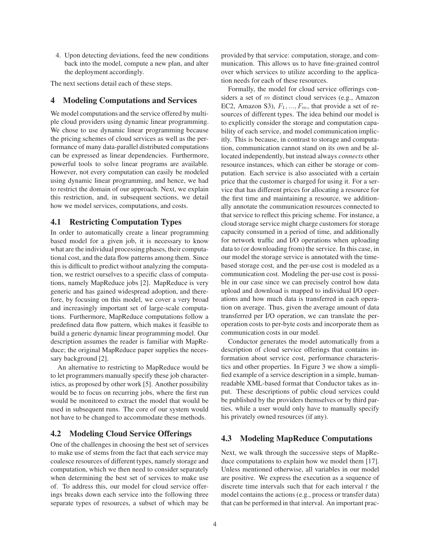4. Upon detecting deviations, feed the new conditions back into the model, compute a new plan, and alter the deployment accordingly.

The next sections detail each of these steps.

### **4 Modeling Computations and Services**

We model computations and the service offered by multiple cloud providers using dynamic linear programming. We chose to use dynamic linear programming because the pricing schemes of cloud services as well as the performance of many data-parallel distributed computations can be expressed as linear dependencies. Furthermore, powerful tools to solve linear programs are available. However, not every computation can easily be modeled using dynamic linear programming, and hence, we had to restrict the domain of our approach. Next, we explain this restriction, and, in subsequent sections, we detail how we model services, computations, and costs.

### **4.1 Restricting Computation Types**

In order to automatically create a linear programming based model for a given job, it is necessary to know what are the individual processing phases, their computational cost, and the data flow patterns among them. Since this is difficult to predict without analyzing the computation, we restrict ourselves to a specific class of computations, namely MapReduce jobs [2]. MapReduce is very generic and has gained widespread adoption, and therefore, by focusing on this model, we cover a very broad and increasingly important set of large-scale computations. Furthermore, MapReduce computations follow a predefined data flow pattern, which makes it feasible to build a generic dynamic linear programming model. Our description assumes the reader is familiar with MapReduce; the original MapReduce paper supplies the necessary background [2].

An alternative to restricting to MapReduce would be to let programmers manually specify these job characteristics, as proposed by other work [5]. Another possibility would be to focus on recurring jobs, where the first run would be monitored to extract the model that would be used in subsequent runs. The core of our system would not have to be changed to accommodate these methods.

# **4.2 Modeling Cloud Service Offerings**

One of the challenges in choosing the best set of services to make use of stems from the fact that each service may coalesce resources of different types, namely storage and computation, which we then need to consider separately when determining the best set of services to make use of. To address this, our model for cloud service offerings breaks down each service into the following three separate types of resources, a subset of which may be provided by that service: computation, storage, and communication. This allows us to have fine-grained control over which services to utilize according to the application needs for each of these resources.

Formally, the model for cloud service offerings considers a set of m distinct cloud services (e.g., Amazon EC2, Amazon S3),  $F_1, ..., F_m$ , that provide a set of resources of different types. The idea behind our model is to explicitly consider the storage and computation capability of each service, and model communication implicitly. This is because, in contrast to storage and computation, communication cannot stand on its own and be allocated independently, but instead always *connects* other resource instances, which can either be storage or computation. Each service is also associated with a certain price that the customer is charged for using it. For a service that has different prices for allocating a resource for the first time and maintaining a resource, we additionally annotate the communication resources connected to that service to reflect this pricing scheme. For instance, a cloud storage service might charge customers for storage capacity consumed in a period of time, and additionally for network traffic and I/O operations when uploading data to (or downloading from) the service. In this case, in our model the storage service is annotated with the timebased storage cost, and the per-use cost is modeled as a communication cost. Modeling the per-use cost is possible in our case since we can precisely control how data upload and download is mapped to individual I/O operations and how much data is transferred in each operation on average. Thus, given the average amount of data transferred per I/O operation, we can translate the peroperation costs to per-byte costs and incorporate them as communication costs in our model.

Conductor generates the model automatically from a description of cloud service offerings that contains information about service cost, performance characteristics and other properties. In Figure 3 we show a simplified example of a service description in a simple, humanreadable XML-based format that Conductor takes as input. These descriptions of public cloud services could be published by the providers themselves or by third parties, while a user would only have to manually specify his privately owned resources (if any).

### **4.3 Modeling MapReduce Computations**

Next, we walk through the successive steps of MapReduce computations to explain how we model them [17]. Unless mentioned otherwise, all variables in our model are positive. We express the execution as a sequence of discrete time intervals such that for each interval  $t$  the model contains the actions (e.g., process or transfer data) that can be performed in that interval. An important prac-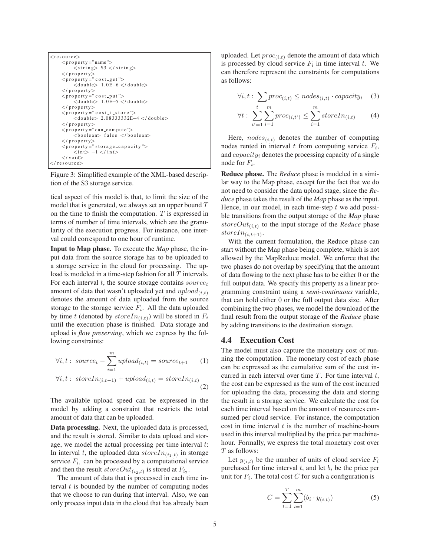```
<resource><property = " name ">
            \langlestring> S3 \langle/string>
     \langle/property>
     \langle property =" c o s t get">
            <d o u bl e> 1 . 0E−6 </ d o u bl e>
     \langle/property>\langle property =" c o s t put">
            <double> 1.0E-5 </double>
     \langle property>
     <property =" c o s t _t _s t o r e "><d o u bl e> 2. 0 8 3 3 3 3 3 2E−4 </ d o u bl e>
     \langle property><br> \langle property = " can_compute ">
            \langleboolean> false \langle/boolean>\langle/property>
     \langle property =" storage capacity ">
            \langle \text{int} \rangle -1 \langle \text{int} \rangle\langle/ void>
\langle/resource\rangle
```
Figure 3: Simplified example of the XML-based description of the S3 storage service.

tical aspect of this model is that, to limit the size of the model that is generated, we always set an upper bound  $T$ on the time to finish the computation.  $T$  is expressed in terms of number of time intervals, which are the granularity of the execution progress. For instance, one interval could correspond to one hour of runtime.

**Input to Map phase.** To execute the *Map* phase, the input data from the source storage has to be uploaded to a storage service in the cloud for processing. The upload is modeled in a time-step fashion for all T intervals. For each interval t, the source storage contains  $source<sub>t</sub>$ amount of data that wasn't uploaded yet and  $upload_{(i,t)}$ denotes the amount of data uploaded from the source storage to the storage service  $F_i$ . All the data uploaded by time t (denoted by  $storeIn_{(i,t)})$  will be stored in  $F_i$ until the execution phase is finished. Data storage and upload is *flow preserving*, which we express by the following constraints:

$$
\forall i, t: source_t - \sum_{i=1}^{m} upload_{(i,t)} = source_{t+1} \qquad (1)
$$

$$
\forall i, t: storeIn_{(i,t-1)} + upload_{(i,t)} = storeIn_{(i,t)} \qquad (2)
$$

The available upload speed can be expressed in the model by adding a constraint that restricts the total amount of data that can be uploaded.

**Data processing.** Next, the uploaded data is processed, and the result is stored. Similar to data upload and storage, we model the actual processing per time interval  $t$ : In interval t, the uploaded data  $storeIn_{(i_1,t)}$  in storage service  $F_{i_1}$  can be processed by a computational service and then the result  $storeOut_{(i_2,t)}$  is stored at  $F_{i_2}$ .

The amount of data that is processed in each time interval  $t$  is bounded by the number of computing nodes that we choose to run during that interval. Also, we can only process input data in the cloud that has already been uploaded. Let  $proc_{(i,t)}$  denote the amount of data which is processed by cloud service  $F_i$  in time interval t. We can therefore represent the constraints for computations as follows:

$$
\forall i, t: \sum proc_{(i,t)} \leq nodes_{(i,t)} \cdot capacity_i \quad (3)
$$

$$
\forall t : \sum_{t'=1}^{t} \sum_{i=1}^{m} proc_{(i,t')} \le \sum_{i=1}^{m} storeIn_{(i,t)} \tag{4}
$$

Here,  $nodes_{(i,t)}$  denotes the number of computing nodes rented in interval  $t$  from computing service  $F_i$ , and  $capacity_i$  denotes the processing capacity of a single node for  $F_i$ .

**Reduce phase.** The *Reduce* phase is modeled in a similar way to the Map phase, except for the fact that we do not need to consider the data upload stage, since the *Reduce* phase takes the result of the *Map* phase as the input. Hence, in our model, in each time-step  $t$  we add possible transitions from the output storage of the *Map* phase  $storeOut_{(i,t)}$  to the input storage of the *Reduce* phase store $In_{(i,t+1)}$ .

With the current formulation, the Reduce phase can start without the Map phase being complete, which is not allowed by the MapReduce model. We enforce that the two phases do not overlap by specifying that the amount of data flowing to the next phase has to be either 0 or the full output data. We specify this property as a linear programming constraint using a *semi-continuous* variable, that can hold either 0 or the full output data size. After combining the two phases, we model the download of the final result from the output storage of the *Reduce* phase by adding transitions to the destination storage.

# **4.4 Execution Cost**

The model must also capture the monetary cost of running the computation. The monetary cost of each phase can be expressed as the cumulative sum of the cost incurred in each interval over time  $T$ . For time interval  $t$ , the cost can be expressed as the sum of the cost incurred for uploading the data, processing the data and storing the result in a storage service. We calculate the cost for each time interval based on the amount of resources consumed per cloud service. For instance, the computation cost in time interval  $t$  is the number of machine-hours used in this interval multiplied by the price per machinehour. Formally, we express the total monetary cost over T as follows:

Let  $y_{(i,t)}$  be the number of units of cloud service  $F_i$ purchased for time interval  $t$ , and let  $b_i$  be the price per unit for  $F_i$ . The total cost  $C$  for such a configuration is

$$
C = \sum_{t=1}^{T} \sum_{i=1}^{m} (b_i \cdot y_{(i,t)})
$$
 (5)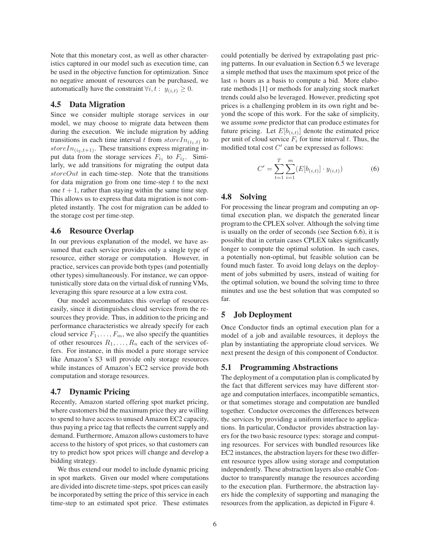Note that this monetary cost, as well as other characteristics captured in our model such as execution time, can be used in the objective function for optimization. Since no negative amount of resources can be purchased, we automatically have the constraint  $\forall i, t : y_{(i,t)} \geq 0$ .

### **4.5 Data Migration**

Since we consider multiple storage services in our model, we may choose to migrate data between them during the execution. We include migration by adding transitions in each time interval t from  $storeIn_{(i_1,t)}$  to store $In_{(i_2,t+1)}$ . These transitions express migrating input data from the storage services  $F_{i_1}$  to  $F_{i_2}$ . Similarly, we add transitions for migrating the output data  $storeOut$  in each time-step. Note that the transitions for data migration go from one time-step  $t$  to the next one  $t + 1$ , rather than staying within the same time step. This allows us to express that data migration is not completed instantly. The cost for migration can be added to the storage cost per time-step.

# **4.6 Resource Overlap**

In our previous explanation of the model, we have assumed that each service provides only a single type of resource, either storage or computation. However, in practice, services can provide both types (and potentially other types) simultaneously. For instance, we can opportunistically store data on the virtual disk of running VMs, leveraging this spare resource at a low extra cost.

Our model accommodates this overlap of resources easily, since it distinguishes cloud services from the resources they provide. Thus, in addition to the pricing and performance characteristics we already specify for each cloud service  $F_1, \ldots, F_m$ , we also specify the quantities of other resources  $R_1, \ldots, R_n$  each of the services offers. For instance, in this model a pure storage service like Amazon's S3 will provide only storage resources while instances of Amazon's EC2 service provide both computation and storage resources.

# **4.7 Dynamic Pricing**

Recently, Amazon started offering spot market pricing, where customers bid the maximum price they are willing to spend to have access to unused Amazon EC2 capacity, thus paying a price tag that reflects the current supply and demand. Furthermore, Amazon allows customers to have access to the history of spot prices, so that customers can try to predict how spot prices will change and develop a bidding strategy.

We thus extend our model to include dynamic pricing in spot markets. Given our model where computations are divided into discrete time-steps, spot prices can easily be incorporated by setting the price of this service in each time-step to an estimated spot price. These estimates could potentially be derived by extrapolating past pricing patterns. In our evaluation in Section 6.5 we leverage a simple method that uses the maximum spot price of the last  $n$  hours as a basis to compute a bid. More elaborate methods [1] or methods for analyzing stock market trends could also be leveraged. However, predicting spot prices is a challenging problem in its own right and beyond the scope of this work. For the sake of simplicity, we assume *some* predictor that can produce estimates for future pricing. Let  $E[b_{(i,t)}]$  denote the estimated price per unit of cloud service  $F_i$  for time interval t. Thus, the modified total cost  $C'$  can be expressed as follows:

$$
C' = \sum_{t=1}^{T} \sum_{i=1}^{m} (E[b_{(i,t)}] \cdot y_{(i,t)})
$$
 (6)

# **4.8 Solving**

For processing the linear program and computing an optimal execution plan, we dispatch the generated linear program to the CPLEX solver. Although the solving time is usually on the order of seconds (see Section 6.6), it is possible that in certain cases CPLEX takes significantly longer to compute the optimal solution. In such cases, a potentially non-optimal, but feasible solution can be found much faster. To avoid long delays on the deployment of jobs submitted by users, instead of waiting for the optimal solution, we bound the solving time to three minutes and use the best solution that was computed so far.

# **5 Job Deployment**

Once Conductor finds an optimal execution plan for a model of a job and available resources, it deploys the plan by instantiating the appropriate cloud services. We next present the design of this component of Conductor.

# **5.1 Programming Abstractions**

The deployment of a computation plan is complicated by the fact that different services may have different storage and computation interfaces, incompatible semantics, or that sometimes storage and computation are bundled together. Conductor overcomes the differences between the services by providing a uniform interface to applications. In particular, Conductor provides abstraction layers for the two basic resource types: storage and computing resources. For services with bundled resources like EC2 instances, the abstraction layers for these two different resource types allow using storage and computation independently. These abstraction layers also enable Conductor to transparently manage the resources according to the execution plan. Furthermore, the abstraction layers hide the complexity of supporting and managing the resources from the application, as depicted in Figure 4.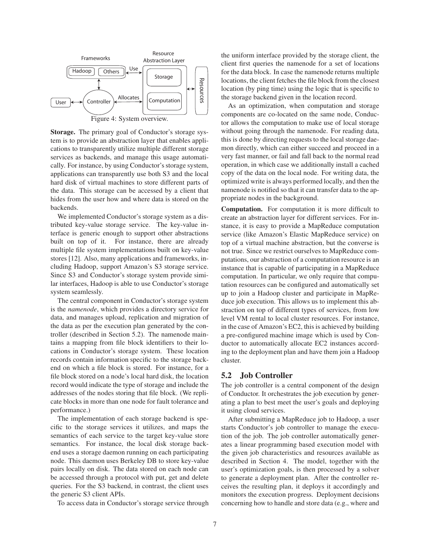

**Storage.** The primary goal of Conductor's storage system is to provide an abstraction layer that enables applications to transparently utilize multiple different storage services as backends, and manage this usage automatically. For instance, by using Conductor's storage system, applications can transparently use both S3 and the local hard disk of virtual machines to store different parts of the data. This storage can be accessed by a client that hides from the user how and where data is stored on the backends.

We implemented Conductor's storage system as a distributed key-value storage service. The key-value interface is generic enough to support other abstractions built on top of it. For instance, there are already multiple file system implementations built on key-value stores [12]. Also, many applications and frameworks, including Hadoop, support Amazon's S3 storage service. Since S3 and Conductor's storage system provide similar interfaces, Hadoop is able to use Conductor's storage system seamlessly.

The central component in Conductor's storage system is the *namenode*, which provides a directory service for data, and manages upload, replication and migration of the data as per the execution plan generated by the controller (described in Section 5.2). The namenode maintains a mapping from file block identifiers to their locations in Conductor's storage system. These location records contain information specific to the storage backend on which a file block is stored. For instance, for a file block stored on a node's local hard disk, the location record would indicate the type of storage and include the addresses of the nodes storing that file block. (We replicate blocks in more than one node for fault tolerance and performance.)

The implementation of each storage backend is specific to the storage services it utilizes, and maps the semantics of each service to the target key-value store semantics. For instance, the local disk storage backend uses a storage daemon running on each participating node. This daemon uses Berkeley DB to store key-value pairs locally on disk. The data stored on each node can be accessed through a protocol with put, get and delete queries. For the S3 backend, in contrast, the client uses the generic S3 client APIs.

To access data in Conductor's storage service through

the uniform interface provided by the storage client, the client first queries the namenode for a set of locations for the data block. In case the namenode returns multiple locations, the client fetches the file block from the closest location (by ping time) using the logic that is specific to the storage backend given in the location record.

As an optimization, when computation and storage components are co-located on the same node, Conductor allows the computation to make use of local storage without going through the namenode. For reading data, this is done by directing requests to the local storage daemon directly, which can either succeed and proceed in a very fast manner, or fail and fall back to the normal read operation, in which case we additionally install a cached copy of the data on the local node. For writing data, the optimized write is always performed locally, and then the namenode is notified so that it can transfer data to the appropriate nodes in the background.

**Computation.** For computation it is more difficult to create an abstraction layer for different services. For instance, it is easy to provide a MapReduce computation service (like Amazon's Elastic MapReduce service) on top of a virtual machine abstraction, but the converse is not true. Since we restrict ourselves to MapReduce computations, our abstraction of a computation resource is an instance that is capable of participating in a MapReduce computation. In particular, we only require that computation resources can be configured and automatically set up to join a Hadoop cluster and participate in MapReduce job execution. This allows us to implement this abstraction on top of different types of services, from low level VM rental to local cluster resources. For instance, in the case of Amazon's EC2, this is achieved by building a pre-configured machine image which is used by Conductor to automatically allocate EC2 instances according to the deployment plan and have them join a Hadoop cluster.

#### **5.2 Job Controller**

The job controller is a central component of the design of Conductor. It orchestrates the job execution by generating a plan to best meet the user's goals and deploying it using cloud services.

After submitting a MapReduce job to Hadoop, a user starts Conductor's job controller to manage the execution of the job. The job controller automatically generates a linear programming based execution model with the given job characteristics and resources available as described in Section 4. The model, together with the user's optimization goals, is then processed by a solver to generate a deployment plan. After the controller receives the resulting plan, it deploys it accordingly and monitors the execution progress. Deployment decisions concerning how to handle and store data (e.g., where and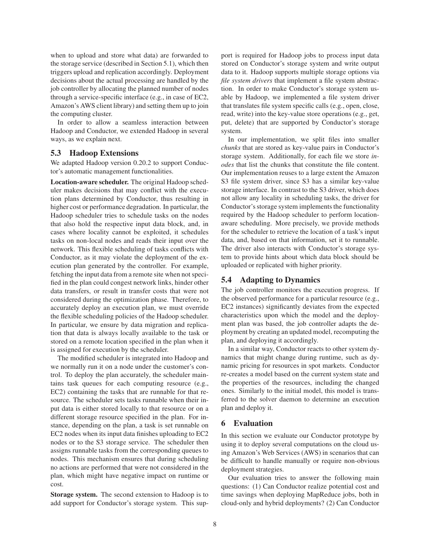when to upload and store what data) are forwarded to the storage service (described in Section 5.1), which then triggers upload and replication accordingly. Deployment decisions about the actual processing are handled by the job controller by allocating the planned number of nodes through a service-specific interface (e.g., in case of EC2, Amazon's AWS client library) and setting them up to join the computing cluster.

In order to allow a seamless interaction between Hadoop and Conductor, we extended Hadoop in several ways, as we explain next.

## **5.3 Hadoop Extensions**

We adapted Hadoop version 0.20.2 to support Conductor's automatic management functionalities.

**Location-aware scheduler.** The original Hadoop scheduler makes decisions that may conflict with the execution plans determined by Conductor, thus resulting in higher cost or performance degradation. In particular, the Hadoop scheduler tries to schedule tasks on the nodes that also hold the respective input data block, and, in cases where locality cannot be exploited, it schedules tasks on non-local nodes and reads their input over the network. This flexible scheduling of tasks conflicts with Conductor, as it may violate the deployment of the execution plan generated by the controller. For example, fetching the input data from a remote site when not specified in the plan could congest network links, hinder other data transfers, or result in transfer costs that were not considered during the optimization phase. Therefore, to accurately deploy an execution plan, we must override the flexible scheduling policies of the Hadoop scheduler. In particular, we ensure by data migration and replication that data is always locally available to the task or stored on a remote location specified in the plan when it is assigned for execution by the scheduler.

The modified scheduler is integrated into Hadoop and we normally run it on a node under the customer's control. To deploy the plan accurately, the scheduler maintains task queues for each computing resource (e.g., EC2) containing the tasks that are runnable for that resource. The scheduler sets tasks runnable when their input data is either stored locally to that resource or on a different storage resource specified in the plan. For instance, depending on the plan, a task is set runnable on EC2 nodes when its input data finishes uploading to EC2 nodes or to the S3 storage service. The scheduler then assigns runnable tasks from the corresponding queues to nodes. This mechanism ensures that during scheduling no actions are performed that were not considered in the plan, which might have negative impact on runtime or cost.

**Storage system.** The second extension to Hadoop is to add support for Conductor's storage system. This support is required for Hadoop jobs to process input data stored on Conductor's storage system and write output data to it. Hadoop supports multiple storage options via *file system drivers* that implement a file system abstraction. In order to make Conductor's storage system usable by Hadoop, we implemented a file system driver that translates file system specific calls (e.g., open, close, read, write) into the key-value store operations (e.g., get, put, delete) that are supported by Conductor's storage system.

In our implementation, we split files into smaller *chunks* that are stored as key-value pairs in Conductor's storage system. Additionally, for each file we store *inodes* that list the chunks that constitute the file content. Our implementation reuses to a large extent the Amazon S3 file system driver, since S3 has a similar key-value storage interface. In contrast to the S3 driver, which does not allow any locality in scheduling tasks, the driver for Conductor's storage system implements the functionality required by the Hadoop scheduler to perform locationaware scheduling. More precisely, we provide methods for the scheduler to retrieve the location of a task's input data, and, based on that information, set it to runnable. The driver also interacts with Conductor's storage system to provide hints about which data block should be uploaded or replicated with higher priority.

#### **5.4 Adapting to Dynamics**

The job controller monitors the execution progress. If the observed performance for a particular resource (e.g., EC2 instances) significantly deviates from the expected characteristics upon which the model and the deployment plan was based, the job controller adapts the deployment by creating an updated model, recomputing the plan, and deploying it accordingly.

In a similar way, Conductor reacts to other system dynamics that might change during runtime, such as dynamic pricing for resources in spot markets. Conductor re-creates a model based on the current system state and the properties of the resources, including the changed ones. Similarly to the initial model, this model is transferred to the solver daemon to determine an execution plan and deploy it.

### **6 Evaluation**

In this section we evaluate our Conductor prototype by using it to deploy several computations on the cloud using Amazon's Web Services (AWS) in scenarios that can be difficult to handle manually or require non-obvious deployment strategies.

Our evaluation tries to answer the following main questions: (1) Can Conductor realize potential cost and time savings when deploying MapReduce jobs, both in cloud-only and hybrid deployments? (2) Can Conductor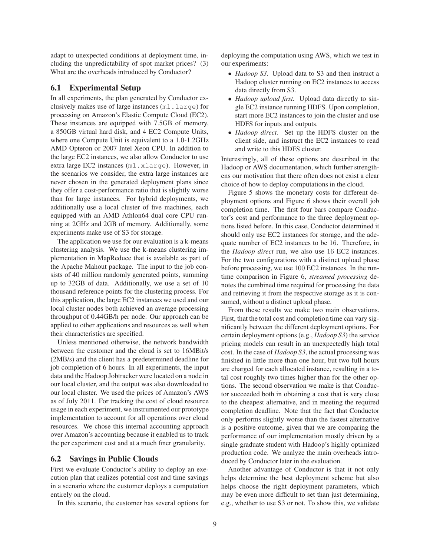adapt to unexpected conditions at deployment time, including the unpredictability of spot market prices? (3) What are the overheads introduced by Conductor?

### **6.1 Experimental Setup**

In all experiments, the plan generated by Conductor exclusively makes use of large instances (m1.large) for processing on Amazon's Elastic Compute Cloud (EC2). These instances are equipped with 7.5GB of memory, a 850GB virtual hard disk, and 4 EC2 Compute Units, where one Compute Unit is equivalent to a 1.0-1.2GHz AMD Opteron or 2007 Intel Xeon CPU. In addition to the large EC2 instances, we also allow Conductor to use extra large EC2 instances (m1.xlarge). However, in the scenarios we consider, the extra large instances are never chosen in the generated deployment plans since they offer a cost-performance ratio that is slightly worse than for large instances. For hybrid deployments, we additionally use a local cluster of five machines, each equipped with an AMD Athlon64 dual core CPU running at 2GHz and 2GB of memory. Additionally, some experiments make use of S3 for storage.

The application we use for our evaluation is a k-means clustering analysis. We use the k-means clustering implementation in MapReduce that is available as part of the Apache Mahout package. The input to the job consists of 40 million randomly generated points, summing up to 32GB of data. Additionally, we use a set of 10 thousand reference points for the clustering process. For this application, the large EC2 instances we used and our local cluster nodes both achieved an average processing throughput of 0.44GB/h per node. Our approach can be applied to other applications and resources as well when their characteristics are specified.

Unless mentioned otherwise, the network bandwidth between the customer and the cloud is set to 16MBit/s (2MB/s) and the client has a predetermined deadline for job completion of 6 hours. In all experiments, the input data and the Hadoop Jobtracker were located on a node in our local cluster, and the output was also downloaded to our local cluster. We used the prices of Amazon's AWS as of July 2011. For tracking the cost of cloud resource usage in each experiment, we instrumented our prototype implementation to account for all operations over cloud resources. We chose this internal accounting approach over Amazon's accounting because it enabled us to track the per experiment cost and at a much finer granularity.

# **6.2 Savings in Public Clouds**

First we evaluate Conductor's ability to deploy an execution plan that realizes potential cost and time savings in a scenario where the customer deploys a computation entirely on the cloud.

In this scenario, the customer has several options for

deploying the computation using AWS, which we test in our experiments:

- *Hadoop S3.* Upload data to S3 and then instruct a Hadoop cluster running on EC2 instances to access data directly from S3.
- *Hadoop upload first.* Upload data directly to single EC2 instance running HDFS. Upon completion, start more EC2 instances to join the cluster and use HDFS for inputs and outputs.
- *Hadoop direct.* Set up the HDFS cluster on the client side, and instruct the EC2 instances to read and write to this HDFS cluster.

Interestingly, all of these options are described in the Hadoop or AWS documentation, which further strengthens our motivation that there often does not exist a clear choice of how to deploy computations in the cloud.

Figure 5 shows the monetary costs for different deployment options and Figure 6 shows their overall job completion time. The first four bars compare Conductor's cost and performance to the three deployment options listed before. In this case, Conductor determined it should only use EC2 instances for storage, and the adequate number of EC2 instances to be 16. Therefore, in the *Hadoop direct* run, we also use 16 EC2 instances. For the two configurations with a distinct upload phase before processing, we use 100 EC2 instances. In the runtime comparison in Figure 6, *streamed processing* denotes the combined time required for processing the data and retrieving it from the respective storage as it is consumed, without a distinct upload phase.

From these results we make two main observations. First, that the total cost and completion time can vary significantly between the different deployment options. For certain deployment options (e.g., *Hadoop S3*) the service pricing models can result in an unexpectedly high total cost. In the case of *Hadoop S3*, the actual processing was finished in little more than one hour, but two full hours are charged for each allocated instance, resulting in a total cost roughly two times higher than for the other options. The second observation we make is that Conductor succeeded both in obtaining a cost that is very close to the cheapest alternative, and in meeting the required completion deadline. Note that the fact that Conductor only performs slightly worse than the fastest alternative is a positive outcome, given that we are comparing the performance of our implementation mostly driven by a single graduate student with Hadoop's highly optimized production code. We analyze the main overheads introduced by Conductor later in the evaluation.

Another advantage of Conductor is that it not only helps determine the best deployment scheme but also helps choose the right deployment parameters, which may be even more difficult to set than just determining, e.g., whether to use S3 or not. To show this, we validate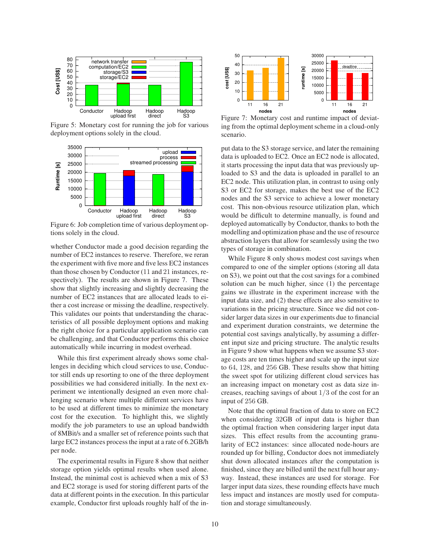

Figure 5: Monetary cost for running the job for various deployment options solely in the cloud.



Figure 6: Job completion time of various deployment options solely in the cloud.

whether Conductor made a good decision regarding the number of EC2 instances to reserve. Therefore, we reran the experiment with five more and five less EC2 instances than those chosen by Conductor (11 and 21 instances, respectively). The results are shown in Figure 7. These show that slightly increasing and slightly decreasing the number of EC2 instances that are allocated leads to either a cost increase or missing the deadline, respectively. This validates our points that understanding the characteristics of all possible deployment options and making the right choice for a particular application scenario can be challenging, and that Conductor performs this choice automatically while incurring in modest overhead.

While this first experiment already shows some challenges in deciding which cloud services to use, Conductor still ends up resorting to one of the three deployment possibilities we had considered initially. In the next experiment we intentionally designed an even more challenging scenario where multiple different services have to be used at different times to minimize the monetary cost for the execution. To highlight this, we slightly modify the job parameters to use an upload bandwidth of 8MBit/s and a smaller set of reference points such that large EC2 instances process the input at a rate of 6.2GB/h per node.

The experimental results in Figure 8 show that neither storage option yields optimal results when used alone. Instead, the minimal cost is achieved when a mix of S3 and EC2 storage is used for storing different parts of the data at different points in the execution. In this particular example, Conductor first uploads roughly half of the in-



Figure 7: Monetary cost and runtime impact of deviating from the optimal deployment scheme in a cloud-only scenario.

put data to the S3 storage service, and later the remaining data is uploaded to EC2. Once an EC2 node is allocated, it starts processing the input data that was previously uploaded to S3 and the data is uploaded in parallel to an EC2 node. This utilization plan, in contrast to using only S3 or EC2 for storage, makes the best use of the EC2 nodes and the S3 service to achieve a lower monetary cost. This non-obvious resource utilization plan, which would be difficult to determine manually, is found and deployed automatically by Conductor, thanks to both the modelling and optimization phase and the use of resource abstraction layers that allow for seamlessly using the two types of storage in combination.

While Figure 8 only shows modest cost savings when compared to one of the simpler options (storing all data on S3), we point out that the cost savings for a combined solution can be much higher, since (1) the percentage gains we illustrate in the experiment increase with the input data size, and (2) these effects are also sensitive to variations in the pricing structure. Since we did not consider larger data sizes in our experiments due to financial and experiment duration constraints, we determine the potential cost savings analytically, by assuming a different input size and pricing structure. The analytic results in Figure 9 show what happens when we assume S3 storage costs are ten times higher and scale up the input size to 64, 128, and 256 GB. These results show that hitting the sweet spot for utilizing different cloud services has an increasing impact on monetary cost as data size increases, reaching savings of about  $1/3$  of the cost for an input of 256 GB.

Note that the optimal fraction of data to store on EC2 when considering 32GB of input data is higher than the optimal fraction when considering larger input data sizes. This effect results from the accounting granularity of EC2 instances: since allocated node-hours are rounded up for billing, Conductor does not immediately shut down allocated instances after the computation is finished, since they are billed until the next full hour anyway. Instead, these instances are used for storage. For larger input data sizes, these rounding effects have much less impact and instances are mostly used for computation and storage simultaneously.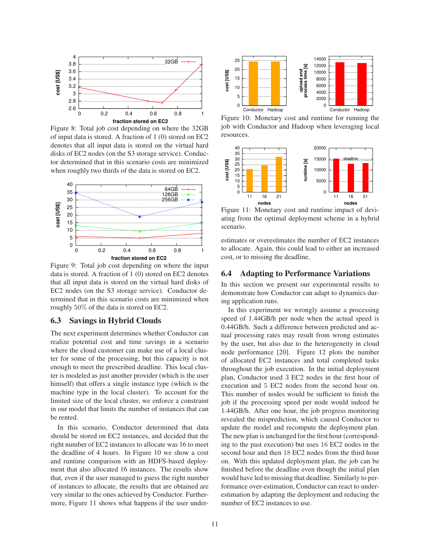

Figure 8: Total job cost depending on where the 32GB of input data is stored. A fraction of 1 (0) stored on EC2 denotes that all input data is stored on the virtual hard disks of EC2 nodes (on the S3 storage service). Conductor determined that in this scenario costs are minimized when roughly two thirds of the data is stored on EC2.



Figure 9: Total job cost depending on where the input data is stored. A fraction of 1 (0) stored on EC2 denotes that all input data is stored on the virtual hard disks of EC2 nodes (on the S3 storage service). Conductor determined that in this scenario costs are minimized when roughly 50% of the data is stored on EC2.

# **6.3 Savings in Hybrid Clouds**

The next experiment determines whether Conductor can realize potential cost and time savings in a scenario where the cloud customer can make use of a local cluster for some of the processing, but this capacity is not enough to meet the prescribed deadline. This local cluster is modeled as just another provider (which is the user himself) that offers a single instance type (which is the machine type in the local cluster). To account for the limited size of the local cluster, we enforce a constraint in our model that limits the number of instances that can be rented.

In this scenario, Conductor determined that data should be stored on EC2 instances, and decided that the right number of EC2 instances to allocate was 16 to meet the deadline of 4 hours. In Figure 10 we show a cost and runtime comparison with an HDFS-based deployment that also allocated 16 instances. The results show that, even if the user managed to guess the right number of instances to allocate, the results that are obtained are very similar to the ones achieved by Conductor. Furthermore, Figure 11 shows what happens if the user under-



Figure 10: Monetary cost and runtime for running the job with Conductor and Hadoop when leveraging local resources.



Figure 11: Monetary cost and runtime impact of deviating from the optimal deployment scheme in a hybrid scenario.

estimates or overestimates the number of EC2 instances to allocate. Again, this could lead to either an increased cost, or to missing the deadline.

### **6.4 Adapting to Performance Variations**

In this section we present our experimental results to demonstrate how Conductor can adapt to dynamics during application runs.

In this experiment we wrongly assume a processing speed of 1.44GB/h per node when the actual speed is 0.44GB/h. Such a difference between predicted and actual processing rates may result from wrong estimates by the user, but also due to the heterogeneity in cloud node performance [20]. Figure 12 plots the number of allocated EC2 instances and total completed tasks throughout the job execution. In the initial deployment plan, Conductor used 3 EC2 nodes in the first hour of execution and 5 EC2 nodes from the second hour on. This number of nodes would be sufficient to finish the job if the processing speed per node would indeed be 1.44GB/h. After one hour, the job progress monitoring revealed the misprediction, which caused Conductor to update the model and recompute the deployment plan. The new plan is unchanged for the first hour (corresponding to the past execution) but uses 16 EC2 nodes in the second hour and then 18 EC2 nodes from the third hour on. With this updated deployment plan, the job can be finished before the deadline even though the initial plan would have led to missing that deadline. Similarly to performance over-estimation, Conductor can react to underestimation by adapting the deployment and reducing the number of EC2 instances to use.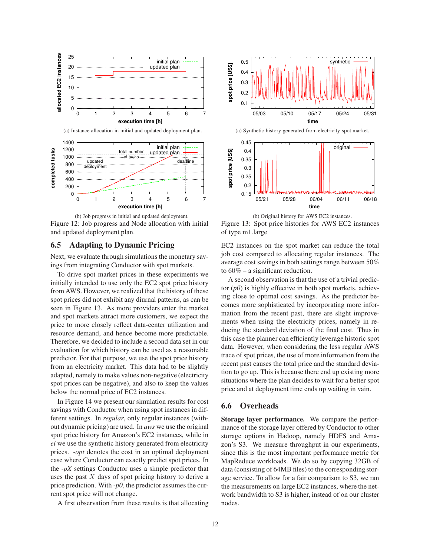

(a) Instance allocation in initial and updated deployment plan.



(b) Job progress in initial and updated deployment. Figure 12: Job progress and Node allocation with initial and updated deployment plan.

# **6.5 Adapting to Dynamic Pricing**

Next, we evaluate through simulations the monetary savings from integrating Conductor with spot markets.

To drive spot market prices in these experiments we initially intended to use only the EC2 spot price history from AWS. However, we realized that the history of these spot prices did not exhibit any diurnal patterns, as can be seen in Figure 13. As more providers enter the market and spot markets attract more customers, we expect the price to more closely reflect data-center utilization and resource demand, and hence become more predictable. Therefore, we decided to include a second data set in our evaluation for which history can be used as a reasonable predictor. For that purpose, we use the spot price history from an electricity market. This data had to be slightly adapted, namely to make values non-negative (electricity spot prices can be negative), and also to keep the values below the normal price of EC2 instances.

In Figure 14 we present our simulation results for cost savings with Conductor when using spot instances in different settings. In *regular*, only regular instances (without dynamic pricing) are used. In *aws* we use the original spot price history for Amazon's EC2 instances, while in *el* we use the synthetic history generated from electricity prices. *-opt* denotes the cost in an optimal deployment case where Conductor can exactly predict spot prices. In the *-pX* settings Conductor uses a simple predictor that uses the past  $X$  days of spot pricing history to derive a price prediction. With *-p0*, the predictor assumes the current spot price will not change.

A first observation from these results is that allocating



(a) Synthetic history generated from electricity spot market.



(b) Original history for AWS EC2 instances.

Figure 13: Spot price histories for AWS EC2 instances of type m1.large

EC2 instances on the spot market can reduce the total job cost compared to allocating regular instances. The average cost savings in both settings range between 50% to  $60\%$  – a significant reduction.

A second observation is that the use of a trivial predictor (*p0*) is highly effective in both spot markets, achieving close to optimal cost savings. As the predictor becomes more sophisticated by incorporating more information from the recent past, there are slight improvements when using the electricity prices, namely in reducing the standard deviation of the final cost. Thus in this case the planner can efficiently leverage historic spot data. However, when considering the less regular AWS trace of spot prices, the use of more information from the recent past causes the total price and the standard deviation to go up. This is because there end up existing more situations where the plan decides to wait for a better spot price and at deployment time ends up waiting in vain.

# **6.6 Overheads**

**Storage layer performance.** We compare the performance of the storage layer offered by Conductor to other storage options in Hadoop, namely HDFS and Amazon's S3. We measure throughput in our experiments, since this is the most important performance metric for MapReduce workloads. We do so by copying 32GB of data (consisting of 64MB files) to the corresponding storage service. To allow for a fair comparison to S3, we ran the measurements on large EC2 instances, where the network bandwidth to S3 is higher, instead of on our cluster nodes.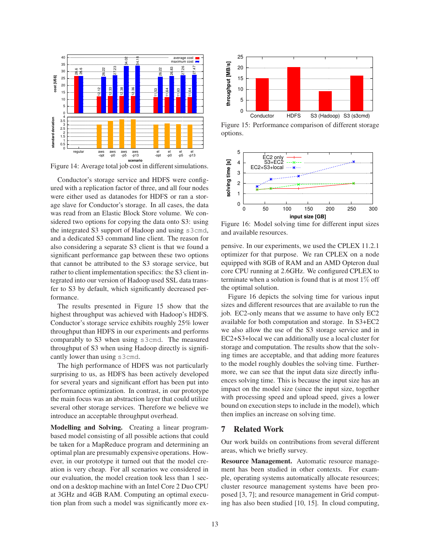

Figure 14: Average total job cost in different simulations.

Conductor's storage service and HDFS were configured with a replication factor of three, and all four nodes were either used as datanodes for HDFS or ran a storage slave for Conductor's storage. In all cases, the data was read from an Elastic Block Store volume. We considered two options for copying the data onto S3: using the integrated S3 support of Hadoop and using s3cmd, and a dedicated S3 command line client. The reason for also considering a separate S3 client is that we found a significant performance gap between these two options that cannot be attributed to the S3 storage service, but rather to client implementation specifics: the S3 client integrated into our version of Hadoop used SSL data transfer to S3 by default, which significantly decreased performance.

The results presented in Figure 15 show that the highest throughput was achieved with Hadoop's HDFS. Conductor's storage service exhibits roughly 25% lower throughput than HDFS in our experiments and performs comparably to S3 when using s3cmd. The measured throughput of S3 when using Hadoop directly is significantly lower than using s3cmd.

The high performance of HDFS was not particularly surprising to us, as HDFS has been actively developed for several years and significant effort has been put into performance optimization. In contrast, in our prototype the main focus was an abstraction layer that could utilize several other storage services. Therefore we believe we introduce an acceptable throughput overhead.

**Modelling and Solving.** Creating a linear programbased model consisting of all possible actions that could be taken for a MapReduce program and determining an optimal plan are presumably expensive operations. However, in our prototype it turned out that the model creation is very cheap. For all scenarios we considered in our evaluation, the model creation took less than 1 second on a desktop machine with an Intel Core 2 Duo CPU at 3GHz and 4GB RAM. Computing an optimal execution plan from such a model was significantly more ex-



Figure 15: Performance comparison of different storage options.



Figure 16: Model solving time for different input sizes and available resources.

pensive. In our experiments, we used the CPLEX 11.2.1 optimizer for that purpose. We ran CPLEX on a node equipped with 8GB of RAM and an AMD Opteron dual core CPU running at 2.6GHz. We configured CPLEX to terminate when a solution is found that is at most  $1\%$  off the optimal solution.

Figure 16 depicts the solving time for various input sizes and different resources that are available to run the job. EC2-only means that we assume to have only EC2 available for both computation and storage. In S3+EC2 we also allow the use of the S3 storage service and in EC2+S3+local we can additionally use a local cluster for storage and computation. The results show that the solving times are acceptable, and that adding more features to the model roughly doubles the solving time. Furthermore, we can see that the input data size directly influences solving time. This is because the input size has an impact on the model size (since the input size, together with processing speed and upload speed, gives a lower bound on execution steps to include in the model), which then implies an increase on solving time.

# **7 Related Work**

Our work builds on contributions from several different areas, which we briefly survey.

**Resource Management.** Automatic resource management has been studied in other contexts. For example, operating systems automatically allocate resources; cluster resource management systems have been proposed [3, 7]; and resource management in Grid computing has also been studied [10, 15]. In cloud computing,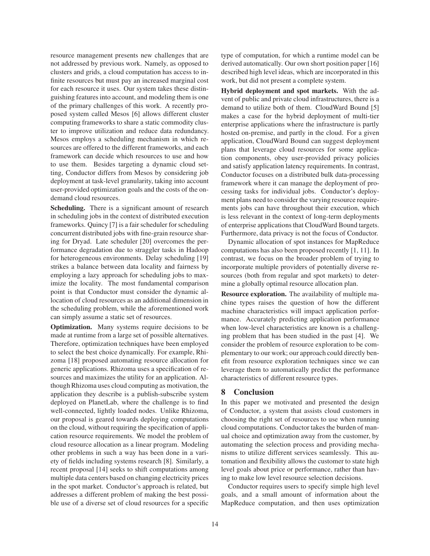resource management presents new challenges that are not addressed by previous work. Namely, as opposed to clusters and grids, a cloud computation has access to infinite resources but must pay an increased marginal cost for each resource it uses. Our system takes these distinguishing features into account, and modeling them is one of the primary challenges of this work. A recently proposed system called Mesos [6] allows different cluster computing frameworks to share a static commodity cluster to improve utilization and reduce data redundancy. Mesos employs a scheduling mechanism in which resources are offered to the different frameworks, and each framework can decide which resources to use and how to use them. Besides targeting a dynamic cloud setting, Conductor differs from Mesos by considering job deployment at task-level granularity, taking into account user-provided optimization goals and the costs of the ondemand cloud resources.

**Scheduling.** There is a significant amount of research in scheduling jobs in the context of distributed execution frameworks. Quincy [7] is a fair scheduler for scheduling concurrent distributed jobs with fine-grain resource sharing for Dryad. Late scheduler [20] overcomes the performance degradation due to straggler tasks in Hadoop for heterogeneous environments. Delay scheduling [19] strikes a balance between data locality and fairness by employing a lazy approach for scheduling jobs to maximize the locality. The most fundamental comparison point is that Conductor must consider the dynamic allocation of cloud resources as an additional dimension in the scheduling problem, while the aforementioned work can simply assume a static set of resources.

**Optimization.** Many systems require decisions to be made at runtime from a large set of possible alternatives. Therefore, optimization techniques have been employed to select the best choice dynamically. For example, Rhizoma [18] proposed automating resource allocation for generic applications. Rhizoma uses a specification of resources and maximizes the utility for an application. Although Rhizoma uses cloud computing as motivation, the application they describe is a publish-subscribe system deployed on PlanetLab, where the challenge is to find well-connected, lightly loaded nodes. Unlike Rhizoma, our proposal is geared towards deploying computations on the cloud, without requiring the specification of application resource requirements. We model the problem of cloud resource allocation as a linear program. Modeling other problems in such a way has been done in a variety of fields including systems research [8]. Similarly, a recent proposal [14] seeks to shift computations among multiple data centers based on changing electricity prices in the spot market. Conductor's approach is related, but addresses a different problem of making the best possible use of a diverse set of cloud resources for a specific

type of computation, for which a runtime model can be derived automatically. Our own short position paper [16] described high level ideas, which are incorporated in this work, but did not present a complete system.

**Hybrid deployment and spot markets.** With the advent of public and private cloud infrastructures, there is a demand to utilize both of them. CloudWard Bound [5] makes a case for the hybrid deployment of multi-tier enterprise applications where the infrastructure is partly hosted on-premise, and partly in the cloud. For a given application, CloudWard Bound can suggest deployment plans that leverage cloud resources for some application components, obey user-provided privacy policies and satisfy application latency requirements. In contrast, Conductor focuses on a distributed bulk data-processing framework where it can manage the deployment of processing tasks for individual jobs. Conductor's deployment plans need to consider the varying resource requirements jobs can have throughout their execution, which is less relevant in the context of long-term deployments of enterprise applications that CloudWard Bound targets. Furthermore, data privacy is not the focus of Conductor.

Dynamic allocation of spot instances for MapReduce computations has also been proposed recently [1, 11]. In contrast, we focus on the broader problem of trying to incorporate multiple providers of potentially diverse resources (both from regular and spot markets) to determine a globally optimal resource allocation plan.

**Resource exploration.** The availability of multiple machine types raises the question of how the different machine characteristics will impact application performance. Accurately predicting application performance when low-level characteristics are known is a challenging problem that has been studied in the past [4]. We consider the problem of resource exploration to be complementary to our work; our approach could directly benefit from resource exploration techniques since we can leverage them to automatically predict the performance characteristics of different resource types.

#### **8 Conclusion**

In this paper we motivated and presented the design of Conductor, a system that assists cloud customers in choosing the right set of resources to use when running cloud computations. Conductor takes the burden of manual choice and optimization away from the customer, by automating the selection process and providing mechanisms to utilize different services seamlessly. This automation and flexibility allows the customer to state high level goals about price or performance, rather than having to make low level resource selection decisions.

Conductor requires users to specify simple high level goals, and a small amount of information about the MapReduce computation, and then uses optimization